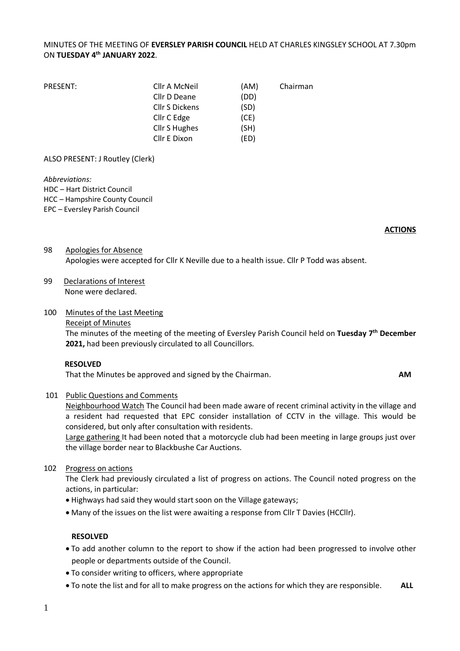# MINUTES OF THE MEETING OF **EVERSLEY PARISH COUNCIL** HELD AT CHARLES KINGSLEY SCHOOL AT 7.30pm ON **TUESDAY 4 th JANUARY 2022**.

| PRESENT: | Cllr A McNeil         | (AM) | Chairman |
|----------|-----------------------|------|----------|
|          | Cllr D Deane          | (DD) |          |
|          | <b>Cllr S Dickens</b> | (SD) |          |
|          | Cllr C Edge           | (CE) |          |
|          | <b>Cllr S Hughes</b>  | (SH) |          |
|          | Cllr E Dixon          | (ED) |          |

ALSO PRESENT: J Routley (Clerk)

*Abbreviations:* 

HDC – Hart District Council

HCC – Hampshire County Council

EPC – Eversley Parish Council

#### **ACTIONS**

# 98 Apologies for Absence Apologies were accepted for Cllr K Neville due to a health issue. Cllr P Todd was absent.

99 Declarations of Interest None were declared.

### 100 Minutes of the Last Meeting

#### Receipt of Minutes

The minutes of the meeting of the meeting of Eversley Parish Council held on **Tuesday 7 th December 2021,** had been previously circulated to all Councillors.

### **RESOLVED**

That the Minutes be approved and signed by the Chairman. **AM**

### 101 Public Questions and Comments

Neighbourhood Watch The Council had been made aware of recent criminal activity in the village and a resident had requested that EPC consider installation of CCTV in the village. This would be considered, but only after consultation with residents.

Large gathering It had been noted that a motorcycle club had been meeting in large groups just over the village border near to Blackbushe Car Auctions.

### 102 Progress on actions

The Clerk had previously circulated a list of progress on actions. The Council noted progress on the actions, in particular:

- Highways had said they would start soon on the Village gateways;
- Many of the issues on the list were awaiting a response from Cllr T Davies (HCCllr).

### **RESOLVED**

- To add another column to the report to show if the action had been progressed to involve other people or departments outside of the Council.
- To consider writing to officers, where appropriate
- To note the list and for all to make progress on the actions for which they are responsible. **ALL**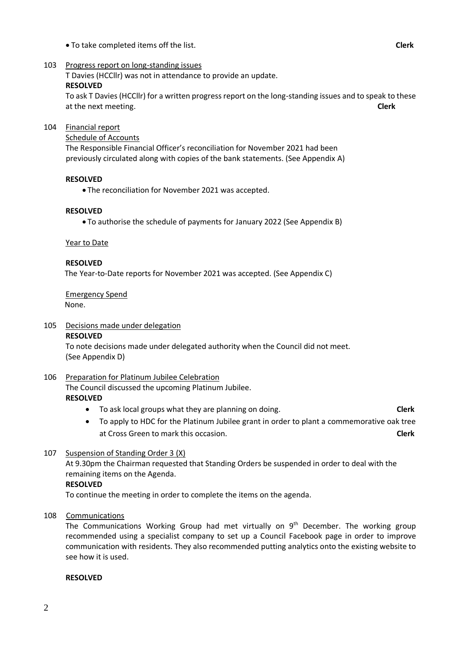- To take completed items off the list. **Clerk**
- 103 Progress report on long-standing issues

T Davies (HCCllr) was not in attendance to provide an update.

### **RESOLVED**

To ask T Davies (HCCllr) for a written progress report on the long-standing issues and to speak to these at the next meeting. **Clerk**

### 104 Financial report

Schedule of Accounts

The Responsible Financial Officer's reconciliation for November 2021 had been previously circulated along with copies of the bank statements. (See Appendix A)

### **RESOLVED**

• The reconciliation for November 2021 was accepted.

### **RESOLVED**

• To authorise the schedule of payments for January 2022 (See Appendix B)

### Year to Date

### **RESOLVED**

The Year-to-Date reports for November 2021 was accepted. (See Appendix C)

Emergency Spend None.

### 105 Decisions made under delegation

### **RESOLVED**

To note decisions made under delegated authority when the Council did not meet. (See Appendix D)

# 106 Preparation for Platinum Jubilee Celebration

The Council discussed the upcoming Platinum Jubilee. **RESOLVED**

- To ask local groups what they are planning on doing. **Clerk**
- To apply to HDC for the Platinum Jubilee grant in order to plant a commemorative oak tree at Cross Green to mark this occasion. **Clerk**

## 107 Suspension of Standing Order 3 (X)

At 9.30pm the Chairman requested that Standing Orders be suspended in order to deal with the remaining items on the Agenda.

## **RESOLVED**

To continue the meeting in order to complete the items on the agenda.

108 Communications

The Communications Working Group had met virtually on  $9<sup>th</sup>$  December. The working group recommended using a specialist company to set up a Council Facebook page in order to improve communication with residents. They also recommended putting analytics onto the existing website to see how it is used.

### **RESOLVED**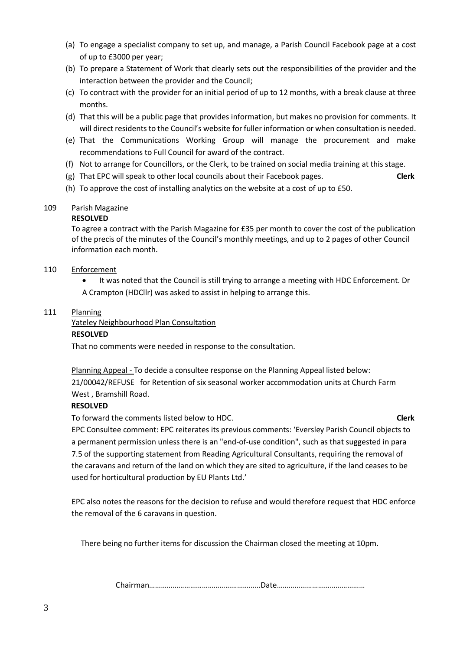- (a) To engage a specialist company to set up, and manage, a Parish Council Facebook page at a cost of up to £3000 per year;
- (b) To prepare a Statement of Work that clearly sets out the responsibilities of the provider and the interaction between the provider and the Council;
- (c) To contract with the provider for an initial period of up to 12 months, with a break clause at three months.
- (d) That this will be a public page that provides information, but makes no provision for comments. It will direct residents to the Council's website for fuller information or when consultation is needed.
- (e) That the Communications Working Group will manage the procurement and make recommendations to Full Council for award of the contract.
- (f) Not to arrange for Councillors, or the Clerk, to be trained on social media training at this stage.
- (g) That EPC will speak to other local councils about their Facebook pages. **Clerk**
	-
- (h) To approve the cost of installing analytics on the website at a cost of up to £50.

## 109 Parish Magazine

## **RESOLVED**

To agree a contract with the Parish Magazine for £35 per month to cover the cost of the publication of the precis of the minutes of the Council's monthly meetings, and up to 2 pages of other Council information each month.

- 110 Enforcement
	- It was noted that the Council is still trying to arrange a meeting with HDC Enforcement. Dr A Crampton (HDCllr) was asked to assist in helping to arrange this.

### 111 Planning

Yateley Neighbourhood Plan Consultation

### **RESOLVED**

That no comments were needed in response to the consultation.

Planning Appeal - To decide a consultee response on the Planning Appeal listed below: 21/00042/REFUSE for Retention of six seasonal worker accommodation units at Church Farm West , Bramshill Road.

## **RESOLVED**

To forward the comments listed below to HDC. **Clerk**

EPC Consultee comment: EPC reiterates its previous comments: 'Eversley Parish Council objects to a permanent permission unless there is an "end-of-use condition", such as that suggested in para 7.5 of the supporting statement from Reading Agricultural Consultants, requiring the removal of the caravans and return of the land on which they are sited to agriculture, if the land ceases to be used for horticultural production by EU Plants Ltd.'

EPC also notes the reasons for the decision to refuse and would therefore request that HDC enforce the removal of the 6 caravans in question.

There being no further items for discussion the Chairman closed the meeting at 10pm.

Chairman…………………………………………………Date………………………………………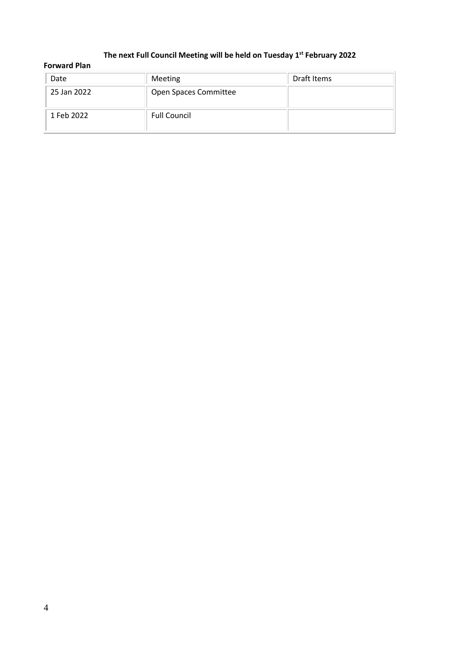### **The next Full Council Meeting will be held on Tuesday 1 st February 2022**

| <b>Forward Plan</b> |                       |             |  |  |
|---------------------|-----------------------|-------------|--|--|
| Date                | Meeting               | Draft Items |  |  |
| 25 Jan 2022         | Open Spaces Committee |             |  |  |
| 1 Feb 2022          | <b>Full Council</b>   |             |  |  |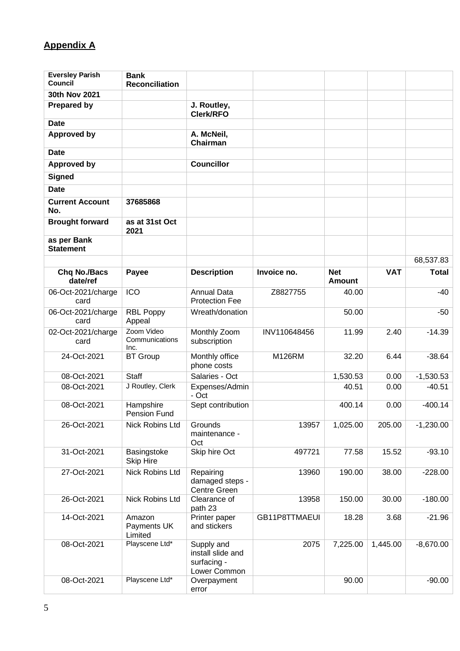# **Appendix A**

| <b>Eversley Parish</b><br>Council | <b>Bank</b><br><b>Reconciliation</b> |                                                                |               |                      |            |              |
|-----------------------------------|--------------------------------------|----------------------------------------------------------------|---------------|----------------------|------------|--------------|
| 30th Nov 2021                     |                                      |                                                                |               |                      |            |              |
| <b>Prepared by</b>                |                                      | J. Routley,                                                    |               |                      |            |              |
|                                   |                                      | <b>Clerk/RFO</b>                                               |               |                      |            |              |
| <b>Date</b>                       |                                      |                                                                |               |                      |            |              |
| <b>Approved by</b>                |                                      | A. McNeil,<br>Chairman                                         |               |                      |            |              |
| <b>Date</b>                       |                                      |                                                                |               |                      |            |              |
| <b>Approved by</b>                |                                      | <b>Councillor</b>                                              |               |                      |            |              |
| <b>Signed</b>                     |                                      |                                                                |               |                      |            |              |
| <b>Date</b>                       |                                      |                                                                |               |                      |            |              |
| <b>Current Account</b><br>No.     | 37685868                             |                                                                |               |                      |            |              |
| <b>Brought forward</b>            | as at 31st Oct<br>2021               |                                                                |               |                      |            |              |
| as per Bank                       |                                      |                                                                |               |                      |            |              |
| <b>Statement</b>                  |                                      |                                                                |               |                      |            |              |
|                                   |                                      |                                                                |               |                      |            | 68,537.83    |
| <b>Chq No./Bacs</b><br>date/ref   | Payee                                | <b>Description</b>                                             | Invoice no.   | <b>Net</b><br>Amount | <b>VAT</b> | <b>Total</b> |
| 06-Oct-2021/charge<br>card        | ICO                                  | <b>Annual Data</b><br><b>Protection Fee</b>                    | Z8827755      | 40.00                |            | $-40$        |
| 06-Oct-2021/charge<br>card        | <b>RBL Poppy</b><br>Appeal           | Wreath/donation                                                |               | 50.00                |            | $-50$        |
| 02-Oct-2021/charge<br>card        | Zoom Video<br>Communications<br>Inc. | Monthly Zoom<br>subscription                                   | INV110648456  | 11.99                | 2.40       | $-14.39$     |
| 24-Oct-2021                       | <b>BT Group</b>                      | Monthly office<br>phone costs                                  | M126RM        | 32.20                | 6.44       | $-38.64$     |
| 08-Oct-2021                       | Staff                                | Salaries - Oct                                                 |               | 1,530.53             | 0.00       | $-1,530.53$  |
| 08-Oct-2021                       | J Routley, Clerk                     | Expenses/Admin<br>- Oct                                        |               | 40.51                | 0.00       | $-40.51$     |
| 08-Oct-2021                       | Hampshire<br>Pension Fund            | Sept contribution                                              |               | 400.14               | 0.00       | $-400.14$    |
| 26-Oct-2021                       | Nick Robins Ltd                      | Grounds<br>maintenance -<br>Oct                                | 13957         | 1,025.00             | 205.00     | $-1,230.00$  |
| 31-Oct-2021                       | Basingstoke<br><b>Skip Hire</b>      | Skip hire Oct                                                  | 497721        | 77.58                | 15.52      | $-93.10$     |
| 27-Oct-2021                       | Nick Robins Ltd                      | Repairing<br>damaged steps -<br>Centre Green                   | 13960         | 190.00               | 38.00      | $-228.00$    |
| 26-Oct-2021                       | <b>Nick Robins Ltd</b>               | Clearance of<br>path 23                                        | 13958         | 150.00               | 30.00      | $-180.00$    |
| 14-Oct-2021                       | Amazon<br>Payments UK<br>Limited     | Printer paper<br>and stickers                                  | GB11P8TTMAEUI | 18.28                | 3.68       | $-21.96$     |
| 08-Oct-2021                       | Playscene Ltd*                       | Supply and<br>install slide and<br>surfacing -<br>Lower Common | 2075          | 7,225.00             | 1,445.00   | $-8,670.00$  |
| 08-Oct-2021                       | Playscene Ltd*                       | Overpayment<br>error                                           |               | 90.00                |            | $-90.00$     |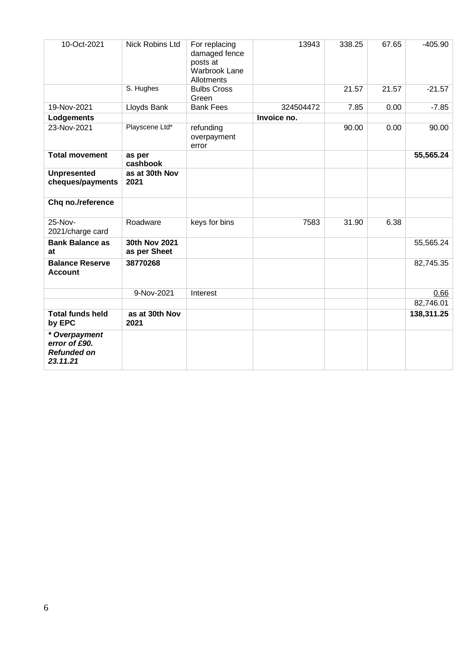| 10-Oct-2021                                                      | <b>Nick Robins Ltd</b>        | For replacing<br>damaged fence<br>posts at<br>Warbrook Lane<br>Allotments | 13943       | 338.25 | 67.65 | $-405.90$  |
|------------------------------------------------------------------|-------------------------------|---------------------------------------------------------------------------|-------------|--------|-------|------------|
|                                                                  | S. Hughes                     | <b>Bulbs Cross</b><br>Green                                               |             | 21.57  | 21.57 | $-21.57$   |
| 19-Nov-2021                                                      | Lloyds Bank                   | <b>Bank Fees</b>                                                          | 324504472   | 7.85   | 0.00  | $-7.85$    |
| Lodgements                                                       |                               |                                                                           | Invoice no. |        |       |            |
| 23-Nov-2021                                                      | Playscene Ltd*                | refunding<br>overpayment<br>error                                         |             | 90.00  | 0.00  | 90.00      |
| <b>Total movement</b>                                            | as per<br>cashbook            |                                                                           |             |        |       | 55,565.24  |
| <b>Unpresented</b><br>cheques/payments                           | as at 30th Nov<br>2021        |                                                                           |             |        |       |            |
| Chq no./reference                                                |                               |                                                                           |             |        |       |            |
| 25-Nov-<br>2021/charge card                                      | Roadware                      | keys for bins                                                             | 7583        | 31.90  | 6.38  |            |
| <b>Bank Balance as</b><br>at                                     | 30th Nov 2021<br>as per Sheet |                                                                           |             |        |       | 55,565.24  |
| <b>Balance Reserve</b><br><b>Account</b>                         | 38770268                      |                                                                           |             |        |       | 82,745.35  |
|                                                                  | 9-Nov-2021                    | Interest                                                                  |             |        |       | 0.66       |
|                                                                  |                               |                                                                           |             |        |       | 82,746.01  |
| <b>Total funds held</b><br>by EPC                                | as at 30th Nov<br>2021        |                                                                           |             |        |       | 138,311.25 |
| * Overpayment<br>error of £90.<br><b>Refunded on</b><br>23.11.21 |                               |                                                                           |             |        |       |            |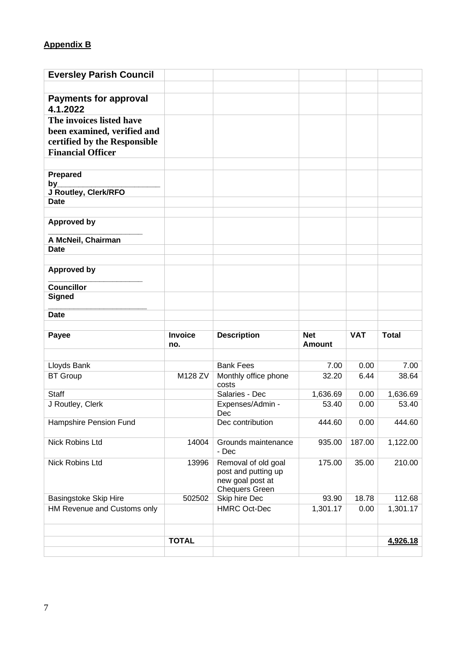# **Appendix B**

| <b>Eversley Parish Council</b>           |                       |                                                                                         |                             |            |              |
|------------------------------------------|-----------------------|-----------------------------------------------------------------------------------------|-----------------------------|------------|--------------|
|                                          |                       |                                                                                         |                             |            |              |
| <b>Payments for approval</b><br>4.1.2022 |                       |                                                                                         |                             |            |              |
| The invoices listed have                 |                       |                                                                                         |                             |            |              |
| been examined, verified and              |                       |                                                                                         |                             |            |              |
| certified by the Responsible             |                       |                                                                                         |                             |            |              |
| <b>Financial Officer</b>                 |                       |                                                                                         |                             |            |              |
|                                          |                       |                                                                                         |                             |            |              |
| <b>Prepared</b>                          |                       |                                                                                         |                             |            |              |
| by<br>J Routley, Clerk/RFO               |                       |                                                                                         |                             |            |              |
| <b>Date</b>                              |                       |                                                                                         |                             |            |              |
|                                          |                       |                                                                                         |                             |            |              |
| <b>Approved by</b>                       |                       |                                                                                         |                             |            |              |
| A McNeil, Chairman                       |                       |                                                                                         |                             |            |              |
| <b>Date</b>                              |                       |                                                                                         |                             |            |              |
|                                          |                       |                                                                                         |                             |            |              |
| <b>Approved by</b>                       |                       |                                                                                         |                             |            |              |
| <b>Councillor</b>                        |                       |                                                                                         |                             |            |              |
| <b>Signed</b>                            |                       |                                                                                         |                             |            |              |
| <b>Date</b>                              |                       |                                                                                         |                             |            |              |
|                                          |                       |                                                                                         |                             |            |              |
|                                          |                       |                                                                                         |                             |            |              |
| Payee                                    | <b>Invoice</b><br>no. | <b>Description</b>                                                                      | <b>Net</b><br><b>Amount</b> | <b>VAT</b> | <b>Total</b> |
|                                          |                       |                                                                                         |                             |            |              |
| Lloyds Bank                              |                       | <b>Bank Fees</b>                                                                        | 7.00                        | 0.00       | 7.00         |
| <b>BT Group</b>                          | M128 ZV               | Monthly office phone<br>costs                                                           | 32.20                       | 6.44       | 38.64        |
| <b>Staff</b>                             |                       | Salaries - Dec                                                                          | 1,636.69                    | 0.00       | 1,636.69     |
| J Routley, Clerk                         |                       | Expenses/Admin -<br>Dec.                                                                | 53.40                       | 0.00       | 53.40        |
| Hampshire Pension Fund                   |                       | Dec contribution                                                                        | 444.60                      | 0.00       | 444.60       |
| Nick Robins Ltd                          | 14004                 | Grounds maintenance<br>- Dec                                                            | 935.00                      | 187.00     | 1,122.00     |
| Nick Robins Ltd                          | 13996                 | Removal of old goal<br>post and putting up<br>new goal post at<br><b>Chequers Green</b> | 175.00                      | 35.00      | 210.00       |
| Basingstoke Skip Hire                    | 502502                | Skip hire Dec                                                                           | 93.90                       | 18.78      | 112.68       |
| HM Revenue and Customs only              |                       | <b>HMRC Oct-Dec</b>                                                                     | 1,301.17                    | 0.00       | 1,301.17     |
|                                          |                       |                                                                                         |                             |            |              |
|                                          |                       |                                                                                         |                             |            |              |
|                                          | <b>TOTAL</b>          |                                                                                         |                             |            | 4,926.18     |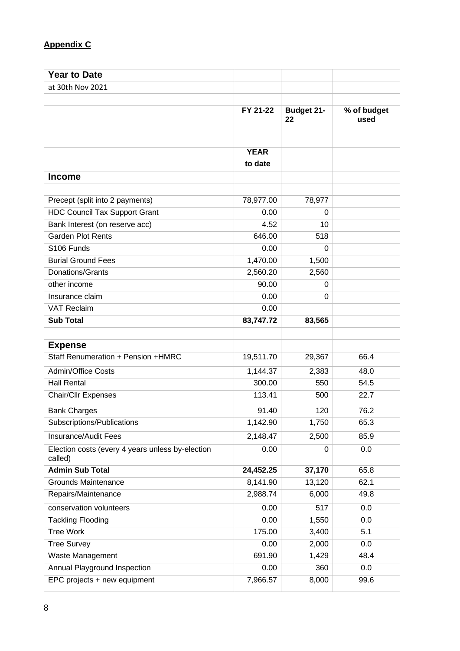# **Appendix C**

| <b>Year to Date</b>                                         |             |                         |                     |
|-------------------------------------------------------------|-------------|-------------------------|---------------------|
| at 30th Nov 2021                                            |             |                         |                     |
|                                                             |             |                         |                     |
|                                                             | FY 21-22    | <b>Budget 21-</b><br>22 | % of budget<br>used |
|                                                             | <b>YEAR</b> |                         |                     |
|                                                             | to date     |                         |                     |
| <b>Income</b>                                               |             |                         |                     |
|                                                             |             |                         |                     |
| Precept (split into 2 payments)                             | 78,977.00   | 78,977                  |                     |
| <b>HDC Council Tax Support Grant</b>                        | 0.00        | $\Omega$                |                     |
| Bank Interest (on reserve acc)                              | 4.52        | 10                      |                     |
| <b>Garden Plot Rents</b>                                    | 646.00      | 518                     |                     |
| S106 Funds                                                  | 0.00        | $\Omega$                |                     |
| <b>Burial Ground Fees</b>                                   | 1,470.00    | 1,500                   |                     |
| Donations/Grants                                            | 2,560.20    | 2,560                   |                     |
| other income                                                | 90.00       | 0                       |                     |
| Insurance claim                                             | 0.00        | $\Omega$                |                     |
| <b>VAT Reclaim</b>                                          | 0.00        |                         |                     |
| <b>Sub Total</b>                                            | 83,747.72   | 83,565                  |                     |
|                                                             |             |                         |                     |
| <b>Expense</b>                                              |             |                         |                     |
| Staff Renumeration + Pension +HMRC                          | 19,511.70   | 29,367                  | 66.4                |
| <b>Admin/Office Costs</b>                                   | 1,144.37    | 2,383                   | 48.0                |
| <b>Hall Rental</b>                                          | 300.00      | 550                     | 54.5                |
| Chair/Cllr Expenses                                         | 113.41      | 500                     | 22.7                |
| <b>Bank Charges</b>                                         | 91.40       | 120                     | 76.2                |
| Subscriptions/Publications                                  | 1,142.90    | 1,750                   | 65.3                |
| Insurance/Audit Fees                                        | 2,148.47    | 2,500                   | 85.9                |
| Election costs (every 4 years unless by-election<br>called) | 0.00        | 0                       | 0.0                 |
| <b>Admin Sub Total</b>                                      | 24,452.25   | 37,170                  | 65.8                |
| <b>Grounds Maintenance</b>                                  | 8,141.90    | 13,120                  | 62.1                |
| Repairs/Maintenance                                         | 2,988.74    | 6,000                   | 49.8                |
| conservation volunteers                                     | 0.00        | 517                     | 0.0                 |
| <b>Tackling Flooding</b>                                    | 0.00        | 1,550                   | 0.0                 |
| <b>Tree Work</b>                                            | 175.00      | 3,400                   | 5.1                 |
| <b>Tree Survey</b>                                          | 0.00        | 2,000                   | 0.0                 |
| Waste Management                                            | 691.90      | 1,429                   | 48.4                |
| Annual Playground Inspection                                | 0.00        | 360                     | 0.0                 |
| EPC projects + new equipment                                | 7,966.57    | 8,000                   | 99.6                |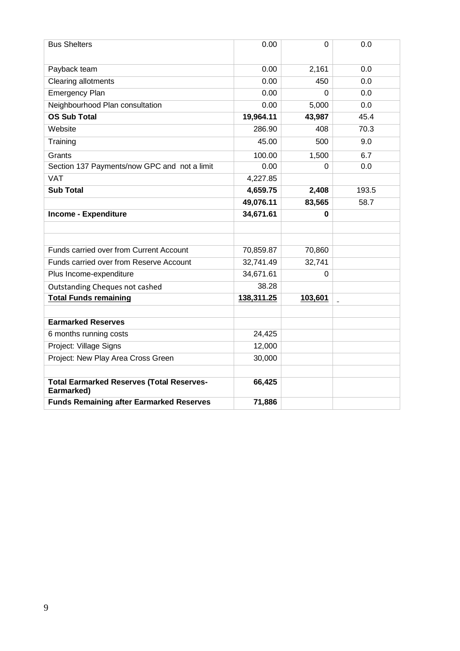| <b>Bus Shelters</b>                                            | 0.00       | $\Omega$ | 0.0            |
|----------------------------------------------------------------|------------|----------|----------------|
| Payback team                                                   | 0.00       | 2,161    | 0.0            |
| <b>Clearing allotments</b>                                     | 0.00       | 450      | 0.0            |
| <b>Emergency Plan</b>                                          | 0.00       | 0        | 0.0            |
| Neighbourhood Plan consultation                                | 0.00       | 5,000    | 0.0            |
| <b>OS Sub Total</b>                                            | 19,964.11  | 43,987   | 45.4           |
| Website                                                        | 286.90     | 408      | 70.3           |
| Training                                                       | 45.00      | 500      | 9.0            |
| Grants                                                         | 100.00     | 1,500    | 6.7            |
| Section 137 Payments/now GPC and not a limit                   | 0.00       | 0        | 0.0            |
| <b>VAT</b>                                                     | 4,227.85   |          |                |
| <b>Sub Total</b>                                               | 4,659.75   | 2,408    | 193.5          |
|                                                                | 49,076.11  | 83,565   | 58.7           |
| <b>Income - Expenditure</b>                                    | 34,671.61  | 0        |                |
|                                                                |            |          |                |
|                                                                |            |          |                |
| Funds carried over from Current Account                        | 70,859.87  | 70,860   |                |
| Funds carried over from Reserve Account                        | 32,741.49  | 32,741   |                |
| Plus Income-expenditure                                        | 34,671.61  | 0        |                |
| Outstanding Cheques not cashed                                 | 38.28      |          |                |
| <b>Total Funds remaining</b>                                   | 138,311.25 | 103,601  | $\blacksquare$ |
|                                                                |            |          |                |
| <b>Earmarked Reserves</b>                                      |            |          |                |
| 6 months running costs                                         | 24,425     |          |                |
| Project: Village Signs                                         | 12,000     |          |                |
| Project: New Play Area Cross Green                             | 30,000     |          |                |
|                                                                |            |          |                |
| <b>Total Earmarked Reserves (Total Reserves-</b><br>Earmarked) | 66,425     |          |                |
| <b>Funds Remaining after Earmarked Reserves</b>                | 71,886     |          |                |